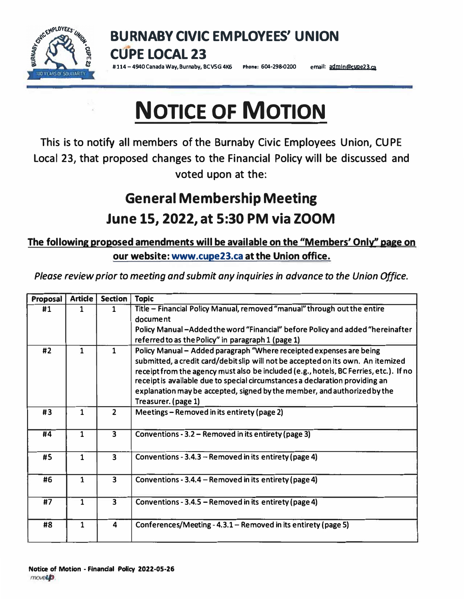

**BURNABY CIVIC EMPLOYEES' UNION CUPE LOCAL 23** 

#114-4940 Canada Way, Burnaby, BCVSG 4K6 Phone: 604-298-0200 email: admin@cupe23.ca

## **NOTICE OF MOTION**

**This is to notify all members of the Burnaby Civic Employees Union, CU PE Local 23, that proposed changes to the Financial Policy will be discussed and voted upon at the:** 

## **General Membership Meeting June 15, 2022, at 5:30 PM via ZOOM**

## **The following proposed amendments will be available on the "Members' Only'' page on our website: www.cupe23.ca at the Union office.**

*Please review prior to meeting and submit any inquiries in advance to the Union Office.* 

| Proposal | <b>Article</b> | <b>Section</b>          | <b>Topic</b>                                                                          |
|----------|----------------|-------------------------|---------------------------------------------------------------------------------------|
| #1       | 1              | 1                       | Title - Financial Policy Manual, removed "manual" through out the entire              |
|          |                |                         | document                                                                              |
|          |                |                         | Policy Manual-Added the word "Financial" before Policy and added "hereinafter         |
|          |                |                         | referred to as the Policy" in paragraph 1 (page 1)                                    |
| #2       | $\mathbf{1}$   | $\mathbf{1}$            | Policy Manual - Added paragraph "Where receipted expenses are being                   |
|          |                |                         | submitted, a credit card/debit slip will not be accepted on its own. An itemized      |
|          |                |                         | receipt from the agency must also be included (e.g., hotels, BC Ferries, etc.). If no |
|          |                |                         | receipt is available due to special circumstances a declaration providing an          |
|          |                |                         | explanation may be accepted, signed by the member, and authorized by the              |
|          |                |                         | Treasurer. (page 1)                                                                   |
| #3       | $\mathbf{1}$   | $\overline{2}$          | Meetings - Removed in its entirety (page 2)                                           |
| #4       | 1              | 3                       | Conventions - 3.2 – Removed in its entirety (page 3)                                  |
|          | 1              | $\overline{3}$          |                                                                                       |
| #5       |                |                         | Conventions - 3.4.3 – Removed in its entirety (page 4)                                |
| #6       | $\mathbf{1}$   | $\overline{\mathbf{3}}$ | Conventions - 3.4.4 – Removed in its entirety (page 4)                                |
|          |                |                         |                                                                                       |
| #7       | 1              | $\overline{\mathbf{3}}$ | Conventions - 3.4.5 – Removed in its entirety (page 4)                                |
| #8       | $\mathbf{1}$   | 4                       | Conferences/Meeting - 4.3.1 - Removed in its entirety (page 5)                        |
|          |                |                         |                                                                                       |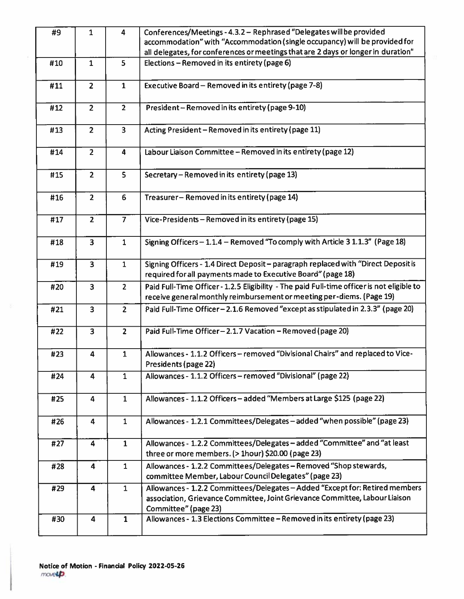| #9  | $\mathbf{1}$            | $\overline{\mathbf{4}}$ | Conferences/Meetings - 4.3.2 - Rephrased "Delegates will be provided<br>accommodation" with "Accommodation (single occupancy) will be provided for<br>all delegates, for conferences or meetings that are 2 days or longer in duration" |
|-----|-------------------------|-------------------------|-----------------------------------------------------------------------------------------------------------------------------------------------------------------------------------------------------------------------------------------|
| #10 | $\mathbf{1}$            | 5                       | Elections - Removed in its entirety (page 6)                                                                                                                                                                                            |
|     |                         |                         |                                                                                                                                                                                                                                         |
| #11 | $\overline{2}$          | $\mathbf{1}$            | Executive Board - Removed in its entirety (page 7-8)                                                                                                                                                                                    |
| #12 | $\overline{2}$          | $\overline{2}$          | President-Removed in its entirety (page 9-10)                                                                                                                                                                                           |
| #13 | $\overline{2}$          | $\overline{\mathbf{3}}$ | Acting President - Removed in its entirety (page 11)                                                                                                                                                                                    |
| #14 | $\overline{2}$          | 4                       | Labour Liaison Committee - Removed in its entirety (page 12)                                                                                                                                                                            |
| #15 | $\overline{2}$          | 5                       | Secretary - Removed in its entirety (page 13)                                                                                                                                                                                           |
| #16 | $\overline{2}$          | 6                       | Treasurer-Removed in its entirety (page 14)                                                                                                                                                                                             |
| #17 | $\overline{2}$          | $\overline{7}$          | Vice-Presidents - Removed in its entirety (page 15)                                                                                                                                                                                     |
| #18 | $\overline{\mathbf{3}}$ | $\mathbf{1}$            | Signing Officers - 1.1.4 - Removed "To comply with Article 3 1.1.3" (Page 18)                                                                                                                                                           |
| #19 | $\overline{\mathbf{3}}$ | $\mathbf{1}$            | Signing Officers - 1.4 Direct Deposit - paragraph replaced with "Direct Deposit is<br>required for all payments made to Executive Board" (page 18)                                                                                      |
| #20 | $\overline{\mathbf{3}}$ | $\overline{2}$          | Paid Full-Time Officer - 1.2.5 Eligibility - The paid Full-time officer is not eligible to<br>receive general monthly reimbursement or meeting per-diems. (Page 19)                                                                     |
| #21 | $\overline{\mathbf{3}}$ | $2^{\circ}$             | Paid Full-Time Officer-2.1.6 Removed "except as stipulated in 2.3.3" (page 20)                                                                                                                                                          |
| #22 | $\overline{\mathbf{3}}$ | $\overline{2}$          | Paid Full-Time Officer-2.1.7 Vacation-Removed (page 20)                                                                                                                                                                                 |
| #23 | $\overline{\mathbf{4}}$ | $\mathbf{1}$            | Allowances - 1.1.2 Officers - removed "Divisional Chairs" and replaced to Vice-<br>Presidents (page 22)                                                                                                                                 |
| #24 | $\overline{\mathbf{4}}$ | $\mathbf{1}$            | Allowances - 1.1.2 Officers - removed "Divisional" (page 22)                                                                                                                                                                            |
| #25 | 4                       | $\mathbf{1}$            | Allowances - 1.1.2 Officers - added "Members at Large \$125 (page 22)                                                                                                                                                                   |
| #26 | $\overline{\mathbf{4}}$ | $\mathbf{1}$            | Allowances - 1.2.1 Committees/Delegates - added "when possible" (page 23)                                                                                                                                                               |
| #27 | $\overline{\mathbf{4}}$ | $\mathbf{1}$            | Allowances - 1.2.2 Committees/Delegates - added "Committee" and "at least<br>three or more members. (> 1hour) \$20.00 (page 23)                                                                                                         |
| #28 | $\overline{4}$          | $\mathbf{1}$            | Allowances - 1.2.2 Committees/Delegates - Removed "Shop stewards,<br>committee Member, Labour Council Delegates" (page 23)                                                                                                              |
| #29 | $\overline{\mathbf{4}}$ | $\mathbf{1}$            | Allowances - 1.2.2 Committees/Delegates - Added "Except for: Retired members<br>association, Grievance Committee, Joint Grievance Committee, Labour Liaison<br>Committee" (page 23)                                                     |
| #30 | $\overline{\mathbf{4}}$ | $\mathbf{1}$            | Allowances - 1.3 Elections Committee - Removed in its entirety (page 23)                                                                                                                                                                |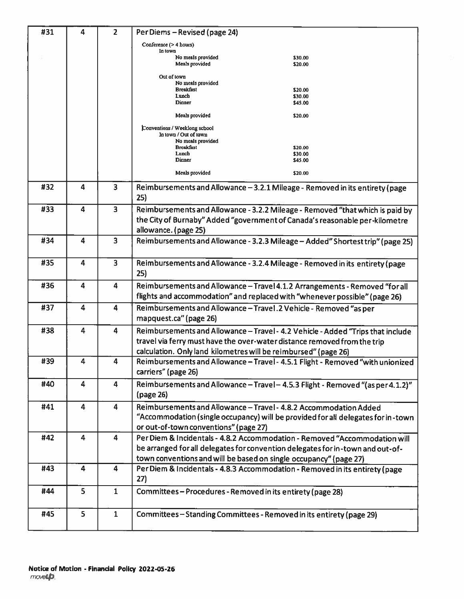| #31 | 4                       | $\overline{2}$          | Per Diems - Revised (page 24)                                                       |
|-----|-------------------------|-------------------------|-------------------------------------------------------------------------------------|
|     |                         |                         | Conference (> 4 hours)<br>In town                                                   |
|     |                         |                         | No meals provided<br>\$30.00<br>Meals provided<br>\$20.00                           |
|     |                         |                         | Out of town                                                                         |
|     |                         |                         | No meals provided<br><b>Breakfast</b><br>\$20.00                                    |
|     |                         |                         | Lunch<br>\$30.00                                                                    |
|     |                         |                         | Dinner<br>\$45.00                                                                   |
|     |                         |                         | Meals provided<br>\$20.00                                                           |
|     |                         |                         | Conventions / Weeklong school<br>In town / Out of town                              |
|     |                         |                         | No meals provided<br><b>Breakfast</b><br>\$20.00                                    |
|     |                         |                         | Lunch<br>\$30.00                                                                    |
|     |                         |                         | Dinner<br>\$45.00                                                                   |
|     |                         |                         | Meals provided<br>\$20.00                                                           |
| #32 | 4                       | 3                       | Reimbursements and Allowance - 3.2.1 Mileage - Removed in its entirety (page<br>25) |
|     |                         |                         |                                                                                     |
| #33 | 4                       | 3                       | Reimbursements and Allowance - 3.2.2 Mileage - Removed "that which is paid by       |
|     |                         |                         | the City of Burnaby" Added "government of Canada's reasonable per-kilometre         |
|     |                         |                         | allowance. (page 25)                                                                |
| #34 | 4                       | 3                       | Reimbursements and Allowance - 3.2.3 Mileage - Added" Shortest trip" (page 25)      |
| #35 | 4                       | $\overline{\mathbf{3}}$ | Reimbursements and Allowance - 3.2.4 Mileage - Removed in its entirety (page        |
|     |                         |                         | 25)                                                                                 |
| #36 | 4                       | 4                       | Reimbursements and Allowance - Travel 4.1.2 Arrangements - Removed "for all         |
|     |                         |                         | flights and accommodation" and replaced with "whenever possible" (page 26)          |
| #37 | $\overline{\mathbf{4}}$ | $\blacktriangleleft$    | Reimbursements and Allowance - Travel. 2 Vehicle - Removed "as per                  |
|     |                         |                         | mapquest.ca" (page 26)                                                              |
| #38 | 4                       | $\blacktriangle$        | Reimbursements and Allowance - Travel - 4.2 Vehicle - Added "Trips that include     |
|     |                         |                         | travel via ferry must have the over-water distance removed from the trip            |
|     |                         |                         | calculation. Only land kilometres will be reimbursed" (page 26)                     |
| #39 | 4                       | 4                       | Reimbursements and Allowance - Travel - 4.5.1 Flight - Removed "with unionized      |
|     |                         |                         | carriers" (page 26)                                                                 |
| #40 | 4                       | 4                       | Reimbursements and Allowance - Travel - 4.5.3 Flight - Removed "(as per 4.1.2)"     |
|     |                         |                         | (page 26)                                                                           |
|     |                         |                         |                                                                                     |
| #41 | 4                       | $\overline{\mathbf{4}}$ | Reimbursements and Allowance - Travel - 4.8.2 Accommodation Added                   |
|     |                         |                         | "Accommodation (single occupancy) will be provided for all delegates for in-town    |
|     |                         |                         | or out-of-town conventions" (page 27)                                               |
| #42 | $\overline{4}$          | $\overline{\mathbf{4}}$ | Per Diem & Incidentals - 4.8.2 Accommodation - Removed "Accommodation will          |
|     |                         |                         | be arranged for all delegates for convention delegates for in-town and out-of-      |
|     |                         |                         | town conventions and will be based on single occupancy" (page 27)                   |
| #43 | 4                       | $\blacktriangleleft$    | Per Diem & Incidentals - 4.8.3 Accommodation - Removed in its entirety (page        |
|     |                         |                         | 27)                                                                                 |
|     |                         |                         |                                                                                     |
| #44 | 5                       | $\mathbf{1}$            | Committees-Procedures-Removed in its entirety (page 28)                             |
|     |                         |                         |                                                                                     |
| #45 | 5                       | $\mathbf{1}$            | Committees-Standing Committees - Removed in its entirety (page 29)                  |
|     |                         |                         |                                                                                     |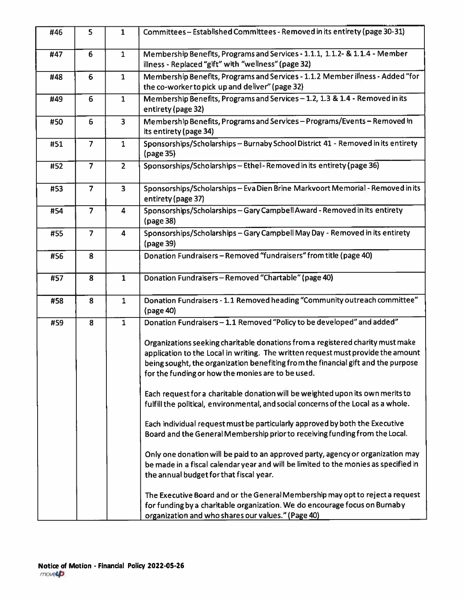| #46 | 5               | $\mathbf{1}$            | Committees - Established Committees - Removed in its entirety (page 30-31)                                                                                                                                                                                                                                   |
|-----|-----------------|-------------------------|--------------------------------------------------------------------------------------------------------------------------------------------------------------------------------------------------------------------------------------------------------------------------------------------------------------|
| #47 | 6               | $\mathbf{1}$            | Membership Benefits, Programs and Services - 1.1.1, 1.1.2- & 1.1.4 - Member<br>illness - Replaced "gift" with "wellness" (page 32)                                                                                                                                                                           |
| #48 | $6\phantom{1}6$ | $\mathbf{1}$            | Membership Benefits, Programs and Services - 1.1.2 Member illness - Added "for<br>the co-worker to pick up and deliver" (page 32)                                                                                                                                                                            |
| #49 | $6\phantom{1}6$ | $\mathbf{1}$            | Membership Benefits, Programs and Services - 1.2, 1.3 & 1.4 - Removed in its<br>entirety (page 32)                                                                                                                                                                                                           |
| #50 | $6\phantom{1}$  | $\overline{\mathbf{3}}$ | Membership Benefits, Programs and Services - Programs/Events - Removed in<br>its entirety (page 34)                                                                                                                                                                                                          |
| #51 | $\overline{7}$  | $\mathbf{1}$            | Sponsorships/Scholarships - Burnaby School District 41 - Removed in its entirety<br>(page 35)                                                                                                                                                                                                                |
| #52 | $\overline{7}$  | $\overline{2}$          | Sponsorships/Scholarships-Ethel-Removed in its entirety (page 36)                                                                                                                                                                                                                                            |
| #53 | $\overline{7}$  | 3                       | Sponsorships/Scholarships - Eva Dien Brine Markvoort Memorial - Removed in its<br>entirety (page 37)                                                                                                                                                                                                         |
| #54 | $\overline{7}$  | 4                       | Sponsorships/Scholarships-Gary Campbell Award - Removed in its entirety<br>(page 38)                                                                                                                                                                                                                         |
| #55 | $\overline{7}$  | 4                       | Sponsorships/Scholarships - Gary Campbell May Day - Removed in its entirety<br>(page 39)                                                                                                                                                                                                                     |
| #56 | 8               |                         | Donation Fundraisers - Removed "fundraisers" from title (page 40)                                                                                                                                                                                                                                            |
| #57 | 8               | $\mathbf{1}$            | Donation Fundraisers - Removed "Chartable" (page 40)                                                                                                                                                                                                                                                         |
| #58 | 8               | $\mathbf{1}$            | Donation Fundraisers - 1.1 Removed heading "Community outreach committee"<br>(page 40)                                                                                                                                                                                                                       |
| #59 | 8               | $\mathbf{1}$            | Donation Fundraisers - 1.1 Removed "Policy to be developed" and added"                                                                                                                                                                                                                                       |
|     |                 |                         | Organizations seeking charitable donations from a registered charity must make<br>application to the Local in writing. The written request must provide the amount<br>being sought, the organization benefiting from the financial gift and the purpose<br>for the funding or how the monies are to be used. |
|     |                 |                         | Each request for a charitable donation will be weighted upon its own merits to<br>fulfill the political, environmental, and social concerns of the Local as a whole.                                                                                                                                         |
|     |                 |                         | Each individual request must be particularly approved by both the Executive<br>Board and the General Membership prior to receiving funding from the Local.                                                                                                                                                   |
|     |                 |                         | Only one donation will be paid to an approved party, agency or organization may<br>be made in a fiscal calendar year and will be limited to the monies as specified in<br>the annual budget for that fiscal year.                                                                                            |
|     |                 |                         | The Executive Board and or the General Membership may opt to reject a request<br>for funding by a charitable organization. We do encourage focus on Burnaby<br>organization and who shares our values." (Page 40)                                                                                            |